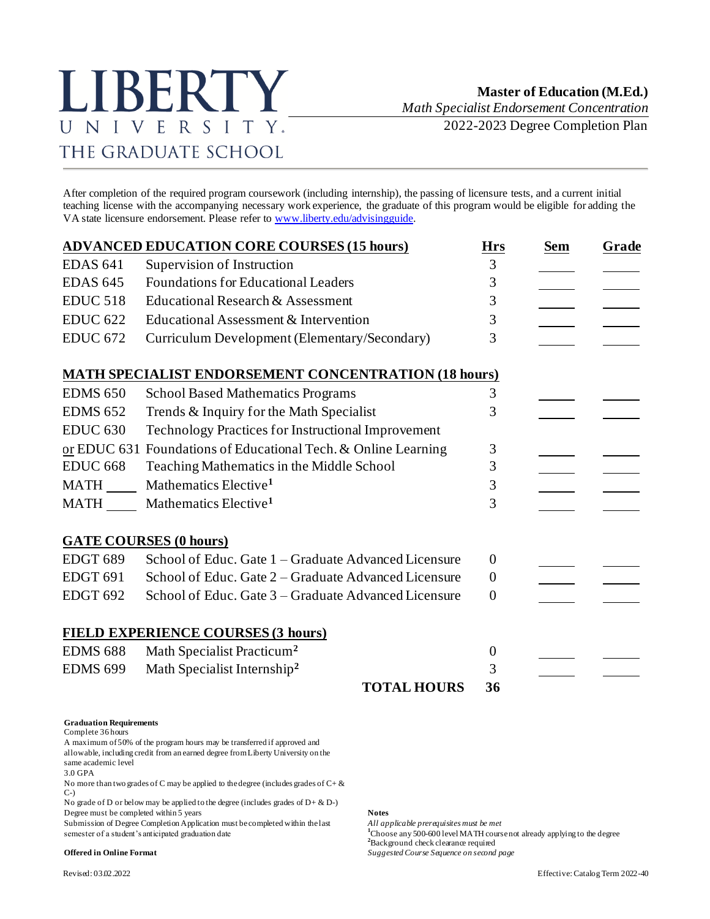# LIBERTY UNIVERSITY. THE GRADUATE SCHOOL

*Math Specialist Endorsement Concentration*

2022-2023 Degree Completion Plan

After completion of the required program coursework (including internship), the passing of licensure tests, and a current initial teaching license with the accompanying necessary work experience, the graduate of this program would be eligible for adding the VA state licensure endorsement. Please refer t[o www.liberty.edu/advisingguide.](http://www.liberty.edu/advisingguide) 

|                 | <b>ADVANCED EDUCATION CORE COURSES (15 hours)</b>              | <b>Hrs</b>       | <b>Sem</b> | <b>Grade</b> |  |
|-----------------|----------------------------------------------------------------|------------------|------------|--------------|--|
| <b>EDAS 641</b> | Supervision of Instruction                                     | 3                |            |              |  |
| <b>EDAS 645</b> | <b>Foundations for Educational Leaders</b>                     | 3                |            |              |  |
| <b>EDUC 518</b> | Educational Research & Assessment                              | 3                |            |              |  |
| <b>EDUC 622</b> | Educational Assessment & Intervention                          | 3                |            |              |  |
| <b>EDUC 672</b> | Curriculum Development (Elementary/Secondary)                  | 3                |            |              |  |
|                 | <b>MATH SPECIALIST ENDORSEMENT CONCENTRATION (18 hours)</b>    |                  |            |              |  |
| <b>EDMS 650</b> | <b>School Based Mathematics Programs</b>                       | 3                |            |              |  |
| <b>EDMS 652</b> | Trends & Inquiry for the Math Specialist                       | 3                |            |              |  |
| <b>EDUC 630</b> | Technology Practices for Instructional Improvement             |                  |            |              |  |
|                 | or EDUC 631 Foundations of Educational Tech. & Online Learning | 3                |            |              |  |
| <b>EDUC 668</b> | Teaching Mathematics in the Middle School                      | 3                |            |              |  |
| <b>MATH</b>     | Mathematics Elective <sup>1</sup>                              | 3                |            |              |  |
| <b>MATH</b>     | Mathematics Elective <sup>1</sup>                              | 3                |            |              |  |
|                 | <b>GATE COURSES (0 hours)</b>                                  |                  |            |              |  |
| <b>EDGT 689</b> | School of Educ. Gate 1 – Graduate Advanced Licensure           | $\overline{0}$   |            |              |  |
| EDGT 691        | School of Educ. Gate 2 – Graduate Advanced Licensure           | $\overline{0}$   |            |              |  |
| <b>EDGT 692</b> | School of Educ. Gate 3 – Graduate Advanced Licensure           | $\overline{0}$   |            |              |  |
|                 | <b>FIELD EXPERIENCE COURSES (3 hours)</b>                      |                  |            |              |  |
| <b>EDMS 688</b> | Math Specialist Practicum <sup>2</sup>                         | $\boldsymbol{0}$ |            |              |  |
| <b>EDMS 699</b> | Math Specialist Internship <sup>2</sup>                        | 3                |            |              |  |
|                 | <b>TOTAL HOURS</b>                                             | 36               |            |              |  |

### **Graduation Requirements**

Complete 36 hours

A maximum of 50% of the program hours may be transferred if approved and allowable, including credit from an earned degree from Liberty University on the same academic level

3.0 GPA

No more than two grades of C may be applied to the degree (includes grades of  $C + \&$ C-)

No grade of D or below may be applied to the degree (includes grades of  $D + \& D$ -) Degree must be completed within 5 years **Notes**

Submission of Degree Completion Application must be completed within the last *All applicable prerequisites must be met*

<sup>1</sup>Choose any 500-600 level MATH course not already applying to the degree **<sup>2</sup>**Background check clearance required

**Offered in Online Format** *Suggested Course Sequence on second page*